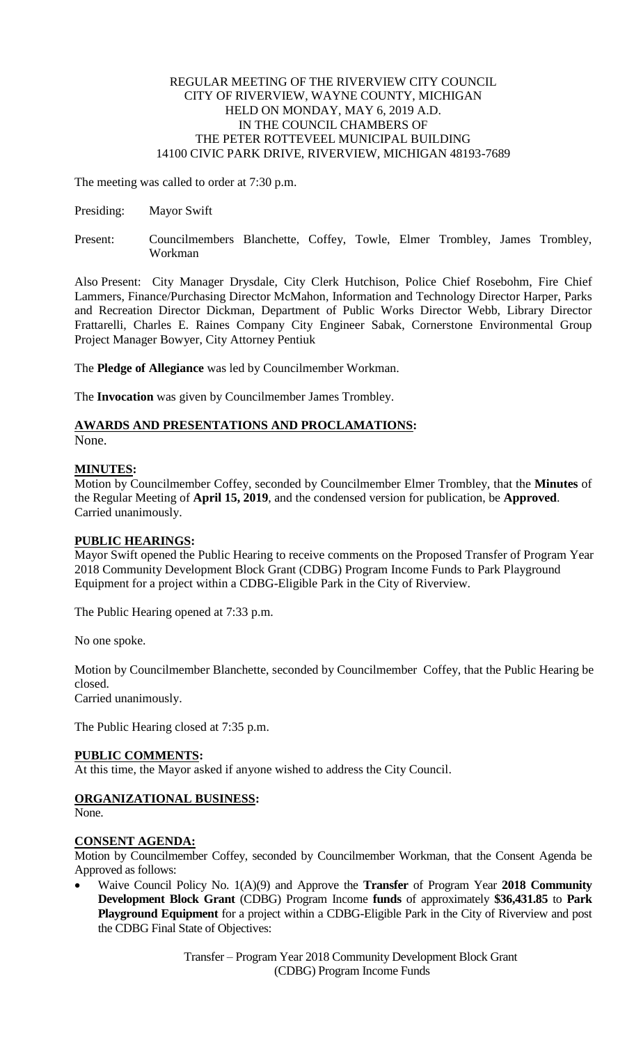#### REGULAR MEETING OF THE RIVERVIEW CITY COUNCIL CITY OF RIVERVIEW, WAYNE COUNTY, MICHIGAN HELD ON MONDAY, MAY 6, 2019 A.D. IN THE COUNCIL CHAMBERS OF THE PETER ROTTEVEEL MUNICIPAL BUILDING 14100 CIVIC PARK DRIVE, RIVERVIEW, MICHIGAN 48193-7689

The meeting was called to order at 7:30 p.m.

- Presiding: Mayor Swift
- Present: Councilmembers Blanchette, Coffey, Towle, Elmer Trombley, James Trombley, Workman

Also Present: City Manager Drysdale, City Clerk Hutchison, Police Chief Rosebohm, Fire Chief Lammers, Finance/Purchasing Director McMahon, Information and Technology Director Harper, Parks and Recreation Director Dickman, Department of Public Works Director Webb, Library Director Frattarelli, Charles E. Raines Company City Engineer Sabak, Cornerstone Environmental Group Project Manager Bowyer, City Attorney Pentiuk

The **Pledge of Allegiance** was led by Councilmember Workman.

The **Invocation** was given by Councilmember James Trombley.

# **AWARDS AND PRESENTATIONS AND PROCLAMATIONS:**

None.

## **MINUTES:**

Motion by Councilmember Coffey, seconded by Councilmember Elmer Trombley, that the **Minutes** of the Regular Meeting of **April 15, 2019**, and the condensed version for publication, be **Approved**. Carried unanimously.

# **PUBLIC HEARINGS:**

Mayor Swift opened the Public Hearing to receive comments on the Proposed Transfer of Program Year 2018 Community Development Block Grant (CDBG) Program Income Funds to Park Playground Equipment for a project within a CDBG-Eligible Park in the City of Riverview.

The Public Hearing opened at 7:33 p.m.

No one spoke.

Motion by Councilmember Blanchette, seconded by Councilmember Coffey, that the Public Hearing be closed.

Carried unanimously.

The Public Hearing closed at 7:35 p.m.

## **PUBLIC COMMENTS:**

At this time, the Mayor asked if anyone wished to address the City Council.

# **ORGANIZATIONAL BUSINESS:**

None.

## **CONSENT AGENDA:**

Motion by Councilmember Coffey, seconded by Councilmember Workman, that the Consent Agenda be Approved as follows:

 Waive Council Policy No. 1(A)(9) and Approve the **Transfer** of Program Year **2018 Community Development Block Grant** (CDBG) Program Income **funds** of approximately **\$36,431.85** to **Park Playground Equipment** for a project within a CDBG-Eligible Park in the City of Riverview and post the CDBG Final State of Objectives:

> Transfer – Program Year 2018 Community Development Block Grant (CDBG) Program Income Funds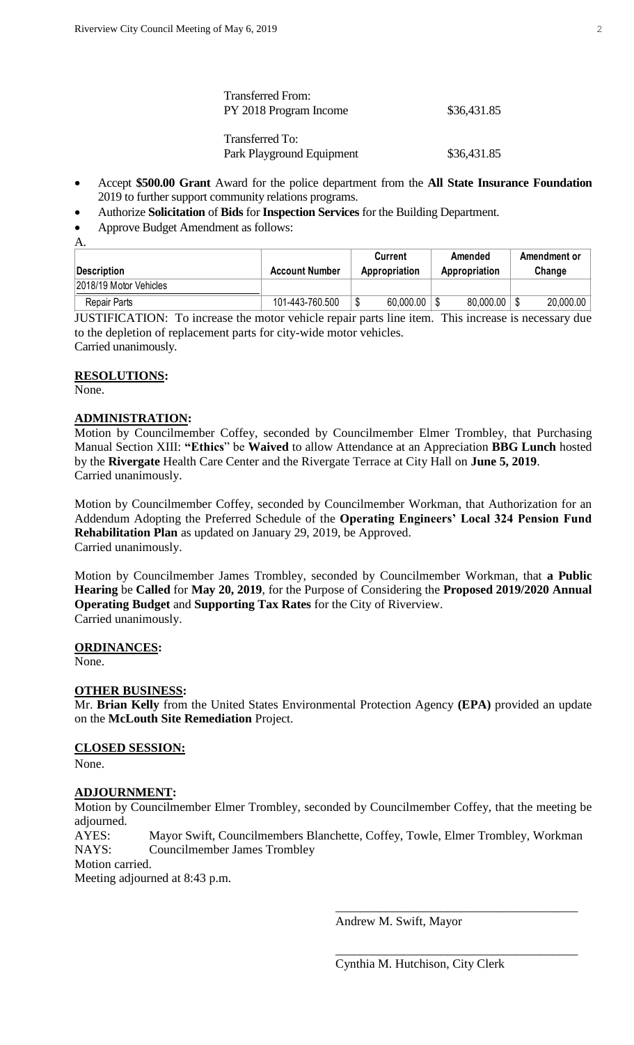| <b>Transferred From:</b><br>PY 2018 Program Income | \$36,431.85 |
|----------------------------------------------------|-------------|
| Transferred To:<br>Park Playground Equipment       | \$36,431.85 |

- Accept **\$500.00 Grant** Award for the police department from the **All State Insurance Foundation** 2019 to further support community relations programs.
- Authorize **Solicitation** of **Bids** for **Inspection Services** for the Building Department.
- Approve Budget Amendment as follows:
- A.

| Description            | <b>Account Number</b> | Current<br>Appropriation |           | Amended<br>Appropriation |           | Amendment or<br>Change |           |
|------------------------|-----------------------|--------------------------|-----------|--------------------------|-----------|------------------------|-----------|
| 2018/19 Motor Vehicles |                       |                          |           |                          |           |                        |           |
| Repair Parts           | 101-443-760.500       | ᠕                        | 60,000.00 |                          | 80,000.00 |                        | 20,000.00 |

JUSTIFICATION: To increase the motor vehicle repair parts line item. This increase is necessary due to the depletion of replacement parts for city-wide motor vehicles. Carried unanimously.

#### **RESOLUTIONS:**

None.

## **ADMINISTRATION:**

Motion by Councilmember Coffey, seconded by Councilmember Elmer Trombley, that Purchasing Manual Section XIII: **"Ethics**" be **Waived** to allow Attendance at an Appreciation **BBG Lunch** hosted by the **Rivergate** Health Care Center and the Rivergate Terrace at City Hall on **June 5, 2019**. Carried unanimously.

Motion by Councilmember Coffey, seconded by Councilmember Workman, that Authorization for an Addendum Adopting the Preferred Schedule of the **Operating Engineers' Local 324 Pension Fund Rehabilitation Plan** as updated on January 29, 2019, be Approved. Carried unanimously.

Motion by Councilmember James Trombley, seconded by Councilmember Workman, that **a Public Hearing** be **Called** for **May 20, 2019**, for the Purpose of Considering the **Proposed 2019/2020 Annual Operating Budget** and **Supporting Tax Rates** for the City of Riverview. Carried unanimously.

**ORDINANCES:**

None.

## **OTHER BUSINESS:**

Mr. **Brian Kelly** from the United States Environmental Protection Agency **(EPA)** provided an update on the **McLouth Site Remediation** Project.

## **CLOSED SESSION:**

None.

## **ADJOURNMENT:**

Motion by Councilmember Elmer Trombley, seconded by Councilmember Coffey, that the meeting be adjourned.

AYES: Mayor Swift, Councilmembers Blanchette, Coffey, Towle, Elmer Trombley, Workman NAYS: Councilmember James Trombley

Motion carried.

Meeting adjourned at 8:43 p.m.

Andrew M. Swift, Mayor

\_\_\_\_\_\_\_\_\_\_\_\_\_\_\_\_\_\_\_\_\_\_\_\_\_\_\_\_\_\_\_\_\_\_\_\_\_\_\_

\_\_\_\_\_\_\_\_\_\_\_\_\_\_\_\_\_\_\_\_\_\_\_\_\_\_\_\_\_\_\_\_\_\_\_\_\_\_\_